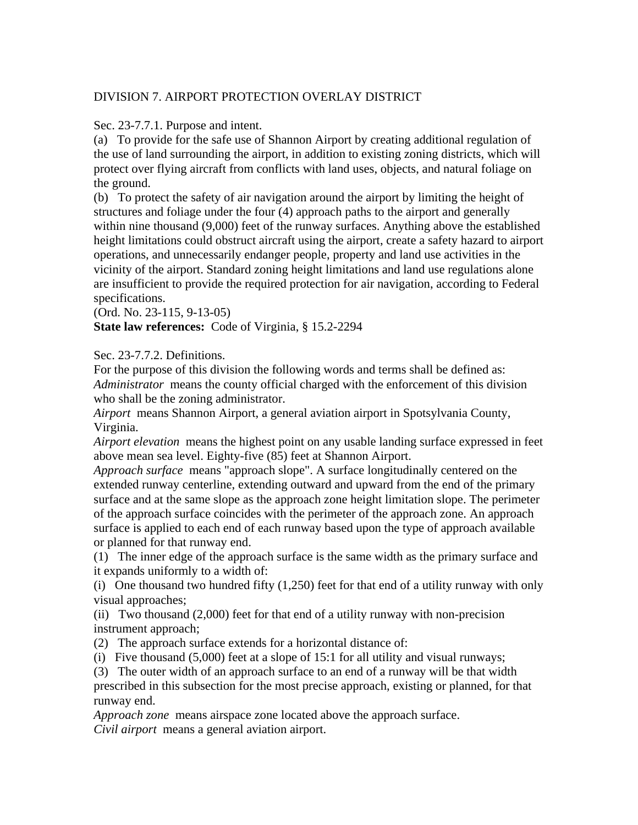# DIVISION 7. AIRPORT PROTECTION OVERLAY DISTRICT

Sec. 23-7.7.1. Purpose and intent.

(a) To provide for the safe use of Shannon Airport by creating additional regulation of the use of land surrounding the airport, in addition to existing zoning districts, which will protect over flying aircraft from conflicts with land uses, objects, and natural foliage on the ground.

(b) To protect the safety of air navigation around the airport by limiting the height of structures and foliage under the four (4) approach paths to the airport and generally within nine thousand (9,000) feet of the runway surfaces. Anything above the established height limitations could obstruct aircraft using the airport, create a safety hazard to airport operations, and unnecessarily endanger people, property and land use activities in the vicinity of the airport. Standard zoning height limitations and land use regulations alone are insufficient to provide the required protection for air navigation, according to Federal specifications.

(Ord. No. 23-115, 9-13-05)

**State law references:** Code of Virginia, § 15.2-2294

Sec. 23-7.7.2. Definitions.

For the purpose of this division the following words and terms shall be defined as: *Administrator* means the county official charged with the enforcement of this division who shall be the zoning administrator.

*Airport* means Shannon Airport, a general aviation airport in Spotsylvania County, Virginia.

*Airport elevation* means the highest point on any usable landing surface expressed in feet above mean sea level. Eighty-five (85) feet at Shannon Airport.

*Approach surface* means "approach slope". A surface longitudinally centered on the extended runway centerline, extending outward and upward from the end of the primary surface and at the same slope as the approach zone height limitation slope. The perimeter of the approach surface coincides with the perimeter of the approach zone. An approach surface is applied to each end of each runway based upon the type of approach available or planned for that runway end.

(1) The inner edge of the approach surface is the same width as the primary surface and it expands uniformly to a width of:

(i) One thousand two hundred fifty (1,250) feet for that end of a utility runway with only visual approaches;

(ii) Two thousand (2,000) feet for that end of a utility runway with non-precision instrument approach;

(2) The approach surface extends for a horizontal distance of:

(i) Five thousand (5,000) feet at a slope of 15:1 for all utility and visual runways;

(3) The outer width of an approach surface to an end of a runway will be that width prescribed in this subsection for the most precise approach, existing or planned, for that runway end.

*Approach zone* means airspace zone located above the approach surface.

*Civil airport* means a general aviation airport.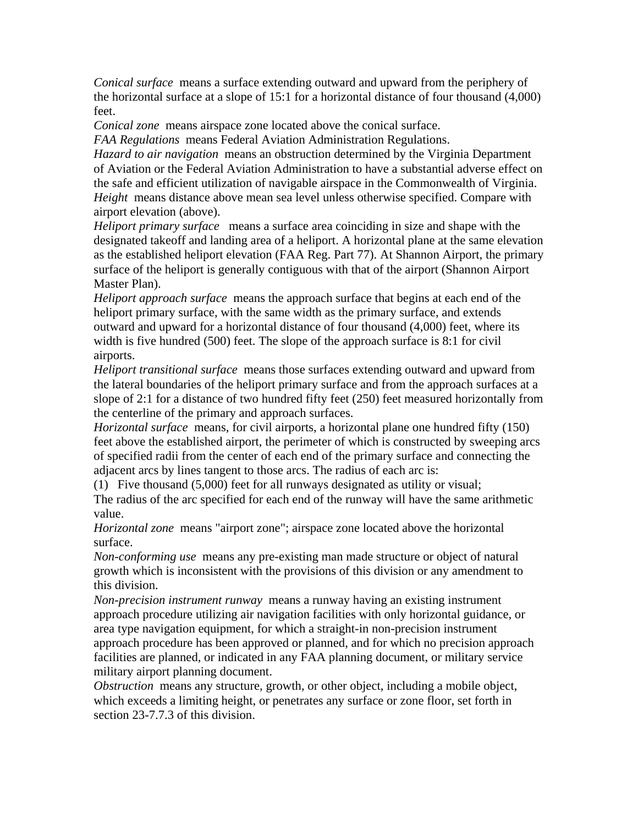*Conical surface* means a surface extending outward and upward from the periphery of the horizontal surface at a slope of 15:1 for a horizontal distance of four thousand (4,000) feet.

*Conical zone* means airspace zone located above the conical surface.

*FAA Regulations* means Federal Aviation Administration Regulations.

*Hazard to air navigation* means an obstruction determined by the Virginia Department of Aviation or the Federal Aviation Administration to have a substantial adverse effect on the safe and efficient utilization of navigable airspace in the Commonwealth of Virginia. *Height* means distance above mean sea level unless otherwise specified. Compare with airport elevation (above).

*Heliport primary surface* means a surface area coinciding in size and shape with the designated takeoff and landing area of a heliport. A horizontal plane at the same elevation as the established heliport elevation (FAA Reg. Part 77). At Shannon Airport, the primary surface of the heliport is generally contiguous with that of the airport (Shannon Airport Master Plan).

*Heliport approach surface* means the approach surface that begins at each end of the heliport primary surface, with the same width as the primary surface, and extends outward and upward for a horizontal distance of four thousand (4,000) feet, where its width is five hundred (500) feet. The slope of the approach surface is 8:1 for civil airports.

*Heliport transitional surface* means those surfaces extending outward and upward from the lateral boundaries of the heliport primary surface and from the approach surfaces at a slope of 2:1 for a distance of two hundred fifty feet (250) feet measured horizontally from the centerline of the primary and approach surfaces.

*Horizontal surface* means, for civil airports, a horizontal plane one hundred fifty (150) feet above the established airport, the perimeter of which is constructed by sweeping arcs of specified radii from the center of each end of the primary surface and connecting the adjacent arcs by lines tangent to those arcs. The radius of each arc is:

(1) Five thousand (5,000) feet for all runways designated as utility or visual; The radius of the arc specified for each end of the runway will have the same arithmetic value.

*Horizontal zone* means "airport zone"; airspace zone located above the horizontal surface.

*Non-conforming use* means any pre-existing man made structure or object of natural growth which is inconsistent with the provisions of this division or any amendment to this division.

*Non-precision instrument runway* means a runway having an existing instrument approach procedure utilizing air navigation facilities with only horizontal guidance, or area type navigation equipment, for which a straight-in non-precision instrument approach procedure has been approved or planned, and for which no precision approach facilities are planned, or indicated in any FAA planning document, or military service military airport planning document.

*Obstruction* means any structure, growth, or other object, including a mobile object, which exceeds a limiting height, or penetrates any surface or zone floor, set forth in section 23-7.7.3 of this division.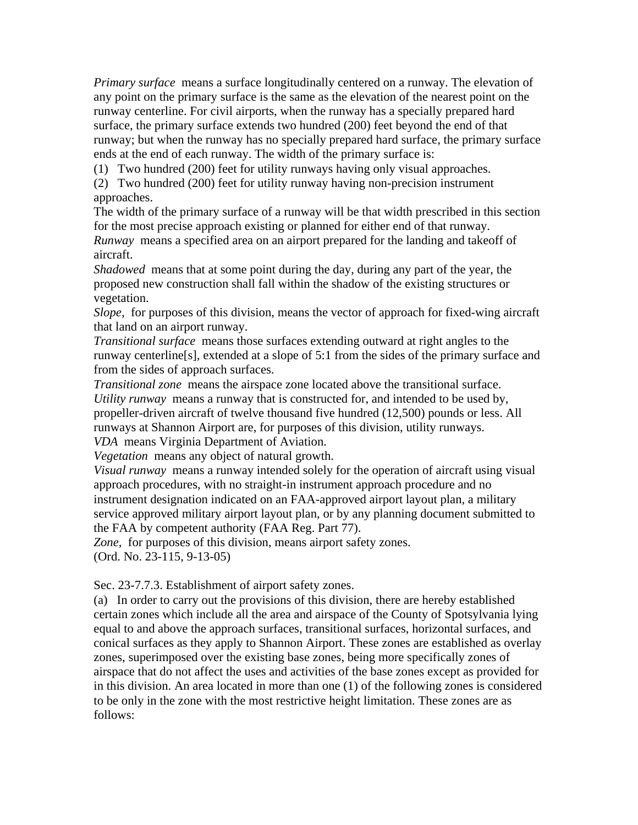*Primary surface* means a surface longitudinally centered on a runway. The elevation of any point on the primary surface is the same as the elevation of the nearest point on the runway centerline. For civil airports, when the runway has a specially prepared hard surface, the primary surface extends two hundred (200) feet beyond the end of that runway; but when the runway has no specially prepared hard surface, the primary surface ends at the end of each runway. The width of the primary surface is:

(1) Two hundred (200) feet for utility runways having only visual approaches.

(2) Two hundred (200) feet for utility runway having non-precision instrument approaches.

The width of the primary surface of a runway will be that width prescribed in this section for the most precise approach existing or planned for either end of that runway.

*Runway* means a specified area on an airport prepared for the landing and takeoff of aircraft.

*Shadowed* means that at some point during the day, during any part of the year, the proposed new construction shall fall within the shadow of the existing structures or vegetation.

*Slope,* for purposes of this division, means the vector of approach for fixed-wing aircraft that land on an airport runway.

*Transitional surface* means those surfaces extending outward at right angles to the runway centerline[s], extended at a slope of 5:1 from the sides of the primary surface and from the sides of approach surfaces.

*Transitional zone* means the airspace zone located above the transitional surface. *Utility runway* means a runway that is constructed for, and intended to be used by, propeller-driven aircraft of twelve thousand five hundred (12,500) pounds or less. All runways at Shannon Airport are, for purposes of this division, utility runways. *VDA* means Virginia Department of Aviation.

*Vegetation* means any object of natural growth.

*Visual runway* means a runway intended solely for the operation of aircraft using visual approach procedures, with no straight-in instrument approach procedure and no instrument designation indicated on an FAA-approved airport layout plan, a military service approved military airport layout plan, or by any planning document submitted to the FAA by competent authority (FAA Reg. Part 77).

*Zone,* for purposes of this division, means airport safety zones.

(Ord. No. 23-115, 9-13-05)

Sec. 23-7.7.3. Establishment of airport safety zones.

(a) In order to carry out the provisions of this division, there are hereby established certain zones which include all the area and airspace of the County of Spotsylvania lying equal to and above the approach surfaces, transitional surfaces, horizontal surfaces, and conical surfaces as they apply to Shannon Airport. These zones are established as overlay zones, superimposed over the existing base zones, being more specifically zones of airspace that do not affect the uses and activities of the base zones except as provided for in this division. An area located in more than one (1) of the following zones is considered to be only in the zone with the most restrictive height limitation. These zones are as follows: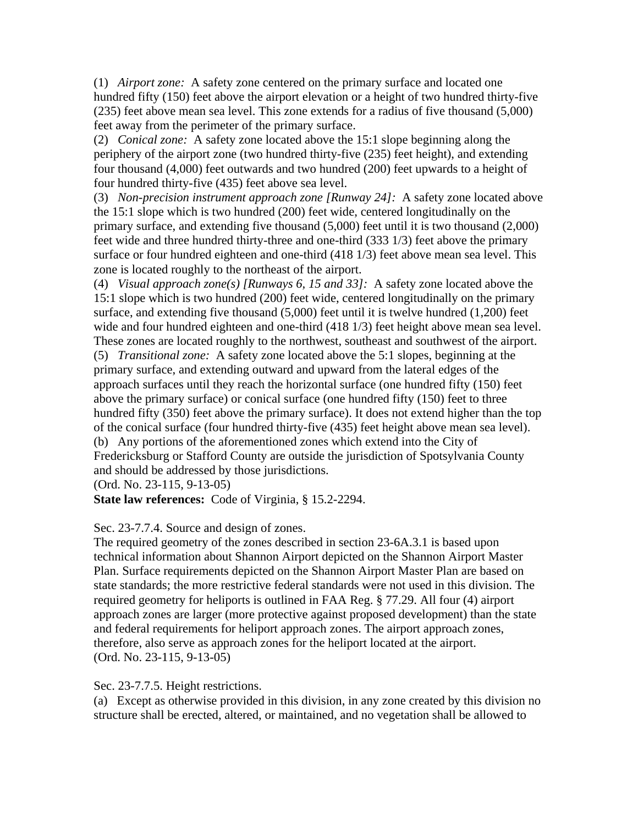(1) *Airport zone:* A safety zone centered on the primary surface and located one hundred fifty (150) feet above the airport elevation or a height of two hundred thirty-five (235) feet above mean sea level. This zone extends for a radius of five thousand (5,000) feet away from the perimeter of the primary surface.

(2) *Conical zone:* A safety zone located above the 15:1 slope beginning along the periphery of the airport zone (two hundred thirty-five (235) feet height), and extending four thousand (4,000) feet outwards and two hundred (200) feet upwards to a height of four hundred thirty-five (435) feet above sea level.

(3) *Non-precision instrument approach zone [Runway 24]:* A safety zone located above the 15:1 slope which is two hundred (200) feet wide, centered longitudinally on the primary surface, and extending five thousand (5,000) feet until it is two thousand (2,000) feet wide and three hundred thirty-three and one-third (333 1/3) feet above the primary surface or four hundred eighteen and one-third (418 1/3) feet above mean sea level. This zone is located roughly to the northeast of the airport.

(4) *Visual approach zone(s) [Runways 6, 15 and 33]:* A safety zone located above the 15:1 slope which is two hundred (200) feet wide, centered longitudinally on the primary surface, and extending five thousand (5,000) feet until it is twelve hundred (1,200) feet wide and four hundred eighteen and one-third (418 1/3) feet height above mean sea level. These zones are located roughly to the northwest, southeast and southwest of the airport. (5) *Transitional zone:* A safety zone located above the 5:1 slopes, beginning at the primary surface, and extending outward and upward from the lateral edges of the approach surfaces until they reach the horizontal surface (one hundred fifty (150) feet above the primary surface) or conical surface (one hundred fifty (150) feet to three hundred fifty (350) feet above the primary surface). It does not extend higher than the top of the conical surface (four hundred thirty-five (435) feet height above mean sea level). (b) Any portions of the aforementioned zones which extend into the City of Fredericksburg or Stafford County are outside the jurisdiction of Spotsylvania County and should be addressed by those jurisdictions.

(Ord. No. 23-115, 9-13-05)

**State law references:** Code of Virginia, § 15.2-2294.

## Sec. 23-7.7.4. Source and design of zones.

The required geometry of the zones described in section 23-6A.3.1 is based upon technical information about Shannon Airport depicted on the Shannon Airport Master Plan. Surface requirements depicted on the Shannon Airport Master Plan are based on state standards; the more restrictive federal standards were not used in this division. The required geometry for heliports is outlined in FAA Reg. § 77.29. All four (4) airport approach zones are larger (more protective against proposed development) than the state and federal requirements for heliport approach zones. The airport approach zones, therefore, also serve as approach zones for the heliport located at the airport. (Ord. No. 23-115, 9-13-05)

Sec. 23-7.7.5. Height restrictions.

(a) Except as otherwise provided in this division, in any zone created by this division no structure shall be erected, altered, or maintained, and no vegetation shall be allowed to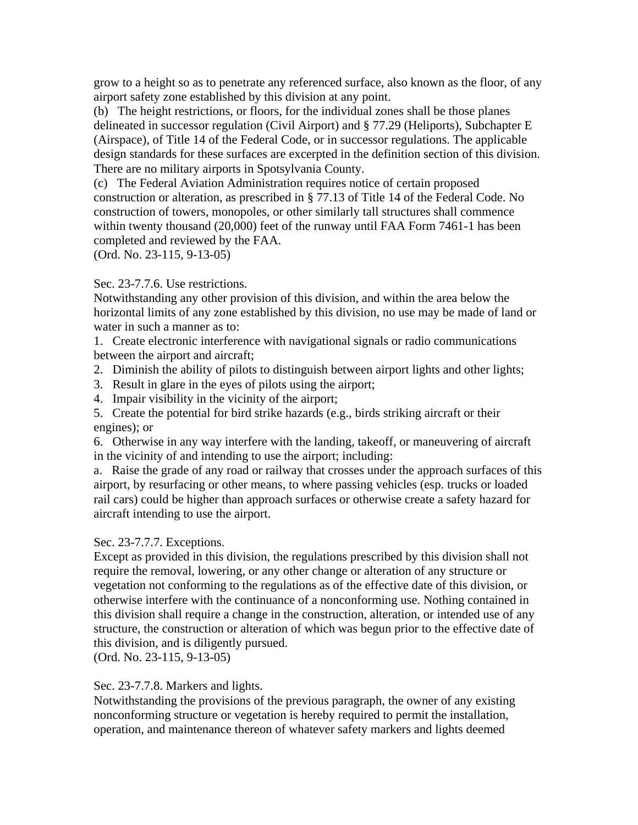grow to a height so as to penetrate any referenced surface, also known as the floor, of any airport safety zone established by this division at any point.

(b) The height restrictions, or floors, for the individual zones shall be those planes delineated in successor regulation (Civil Airport) and § 77.29 (Heliports), Subchapter E (Airspace), of Title 14 of the Federal Code, or in successor regulations. The applicable design standards for these surfaces are excerpted in the definition section of this division. There are no military airports in Spotsylvania County.

(c) The Federal Aviation Administration requires notice of certain proposed construction or alteration, as prescribed in § 77.13 of Title 14 of the Federal Code. No construction of towers, monopoles, or other similarly tall structures shall commence within twenty thousand (20,000) feet of the runway until FAA Form 7461-1 has been completed and reviewed by the FAA.

(Ord. No. 23-115, 9-13-05)

### Sec. 23-7.7.6. Use restrictions.

Notwithstanding any other provision of this division, and within the area below the horizontal limits of any zone established by this division, no use may be made of land or water in such a manner as to:

1. Create electronic interference with navigational signals or radio communications between the airport and aircraft;

- 2. Diminish the ability of pilots to distinguish between airport lights and other lights;
- 3. Result in glare in the eyes of pilots using the airport;
- 4. Impair visibility in the vicinity of the airport;

5. Create the potential for bird strike hazards (e.g., birds striking aircraft or their engines); or

6. Otherwise in any way interfere with the landing, takeoff, or maneuvering of aircraft in the vicinity of and intending to use the airport; including:

a. Raise the grade of any road or railway that crosses under the approach surfaces of this airport, by resurfacing or other means, to where passing vehicles (esp. trucks or loaded rail cars) could be higher than approach surfaces or otherwise create a safety hazard for aircraft intending to use the airport.

#### Sec. 23-7.7.7. Exceptions.

Except as provided in this division, the regulations prescribed by this division shall not require the removal, lowering, or any other change or alteration of any structure or vegetation not conforming to the regulations as of the effective date of this division, or otherwise interfere with the continuance of a nonconforming use. Nothing contained in this division shall require a change in the construction, alteration, or intended use of any structure, the construction or alteration of which was begun prior to the effective date of this division, and is diligently pursued.

(Ord. No. 23-115, 9-13-05)

## Sec. 23-7.7.8. Markers and lights.

Notwithstanding the provisions of the previous paragraph, the owner of any existing nonconforming structure or vegetation is hereby required to permit the installation, operation, and maintenance thereon of whatever safety markers and lights deemed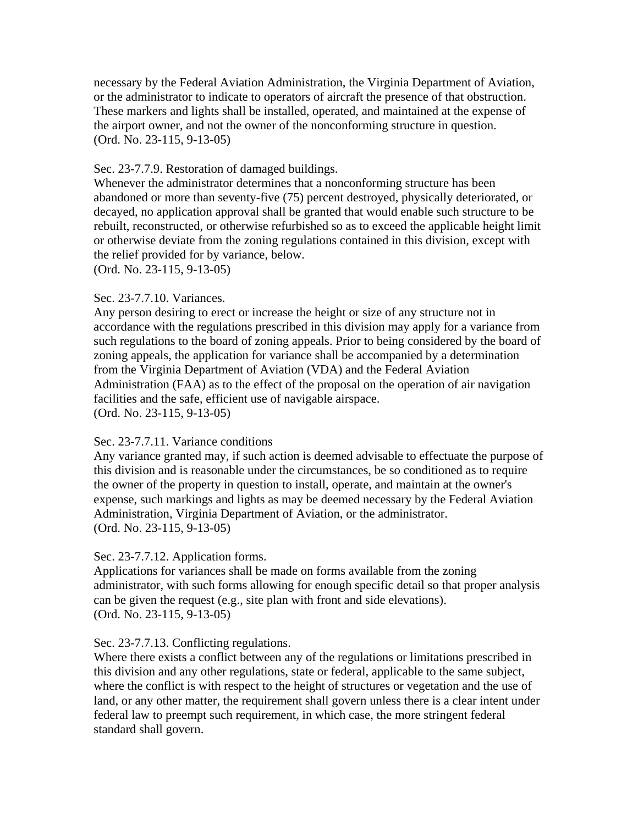necessary by the Federal Aviation Administration, the Virginia Department of Aviation, or the administrator to indicate to operators of aircraft the presence of that obstruction. These markers and lights shall be installed, operated, and maintained at the expense of the airport owner, and not the owner of the nonconforming structure in question. (Ord. No. 23-115, 9-13-05)

#### Sec. 23-7.7.9. Restoration of damaged buildings.

Whenever the administrator determines that a nonconforming structure has been abandoned or more than seventy-five (75) percent destroyed, physically deteriorated, or decayed, no application approval shall be granted that would enable such structure to be rebuilt, reconstructed, or otherwise refurbished so as to exceed the applicable height limit or otherwise deviate from the zoning regulations contained in this division, except with the relief provided for by variance, below.

(Ord. No. 23-115, 9-13-05)

## Sec. 23-7.7.10. Variances.

Any person desiring to erect or increase the height or size of any structure not in accordance with the regulations prescribed in this division may apply for a variance from such regulations to the board of zoning appeals. Prior to being considered by the board of zoning appeals, the application for variance shall be accompanied by a determination from the Virginia Department of Aviation (VDA) and the Federal Aviation Administration (FAA) as to the effect of the proposal on the operation of air navigation facilities and the safe, efficient use of navigable airspace. (Ord. No. 23-115, 9-13-05)

## Sec. 23-7.7.11. Variance conditions

Any variance granted may, if such action is deemed advisable to effectuate the purpose of this division and is reasonable under the circumstances, be so conditioned as to require the owner of the property in question to install, operate, and maintain at the owner's expense, such markings and lights as may be deemed necessary by the Federal Aviation Administration, Virginia Department of Aviation, or the administrator. (Ord. No. 23-115, 9-13-05)

## Sec. 23-7.7.12. Application forms.

Applications for variances shall be made on forms available from the zoning administrator, with such forms allowing for enough specific detail so that proper analysis can be given the request (e.g., site plan with front and side elevations). (Ord. No. 23-115, 9-13-05)

## Sec. 23-7.7.13. Conflicting regulations.

Where there exists a conflict between any of the regulations or limitations prescribed in this division and any other regulations, state or federal, applicable to the same subject, where the conflict is with respect to the height of structures or vegetation and the use of land, or any other matter, the requirement shall govern unless there is a clear intent under federal law to preempt such requirement, in which case, the more stringent federal standard shall govern.